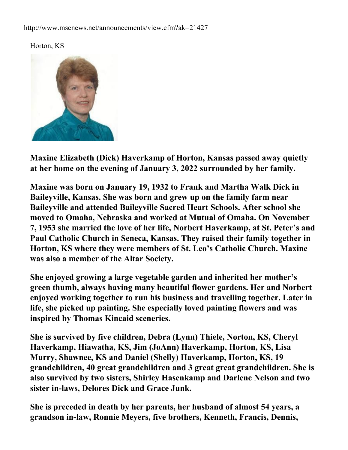## http://www.mscnews.net/announcements/view.cfm?ak=21427





**Maxine Elizabeth (Dick) Haverkamp of Horton, Kansas passed away quietly at her home on the evening of January 3, 2022 surrounded by her family.**

**Maxine was born on January 19, 1932 to Frank and Martha Walk Dick in Baileyville, Kansas. She was born and grew up on the family farm near Baileyville and attended Baileyville Sacred Heart Schools. After school she moved to Omaha, Nebraska and worked at Mutual of Omaha. On November 7, 1953 she married the love of her life, Norbert Haverkamp, at St. Peter's and Paul Catholic Church in Seneca, Kansas. They raised their family together in Horton, KS where they were members of St. Leo's Catholic Church. Maxine was also a member of the Altar Society.**

**She enjoyed growing a large vegetable garden and inherited her mother's green thumb, always having many beautiful flower gardens. Her and Norbert enjoyed working together to run his business and travelling together. Later in life, she picked up painting. She especially loved painting flowers and was inspired by Thomas Kincaid sceneries.**

**She is survived by five children, Debra (Lynn) Thiele, Norton, KS, Cheryl Haverkamp, Hiawatha, KS, Jim (JoAnn) Haverkamp, Horton, KS, Lisa Murry, Shawnee, KS and Daniel (Shelly) Haverkamp, Horton, KS, 19 grandchildren, 40 great grandchildren and 3 great great grandchildren. She is also survived by two sisters, Shirley Hasenkamp and Darlene Nelson and two sister in-laws, Delores Dick and Grace Junk.**

**She is preceded in death by her parents, her husband of almost 54 years, a grandson in-law, Ronnie Meyers, five brothers, Kenneth, Francis, Dennis,**